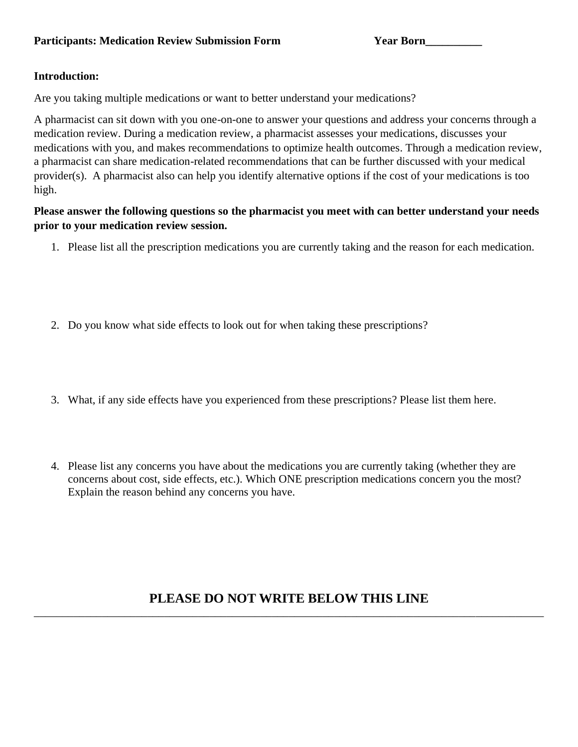## **Introduction:**

Are you taking multiple medications or want to better understand your medications?

A pharmacist can sit down with you one-on-one to answer your questions and address your concerns through a medication review. During a medication review, a pharmacist assesses your medications, discusses your medications with you, and makes recommendations to optimize health outcomes. Through a medication review, a pharmacist can share medication-related recommendations that can be further discussed with your medical provider(s). A pharmacist also can help you identify alternative options if the cost of your medications is too high.

## **Please answer the following questions so the pharmacist you meet with can better understand your needs prior to your medication review session.**

- 1. Please list all the prescription medications you are currently taking and the reason for each medication.
- 2. Do you know what side effects to look out for when taking these prescriptions?
- 3. What, if any side effects have you experienced from these prescriptions? Please list them here.
- 4. Please list any concerns you have about the medications you are currently taking (whether they are concerns about cost, side effects, etc.). Which ONE prescription medications concern you the most? Explain the reason behind any concerns you have.

## **PLEASE DO NOT WRITE BELOW THIS LINE** \_\_\_\_\_\_\_\_\_\_\_\_\_\_\_\_\_\_\_\_\_\_\_\_\_\_\_\_\_\_\_\_\_\_\_\_\_\_\_\_\_\_\_\_\_\_\_\_\_\_\_\_\_\_\_\_\_\_\_\_\_\_\_\_\_\_\_\_\_\_\_\_\_\_\_\_\_\_\_\_\_\_\_\_\_\_\_\_\_\_